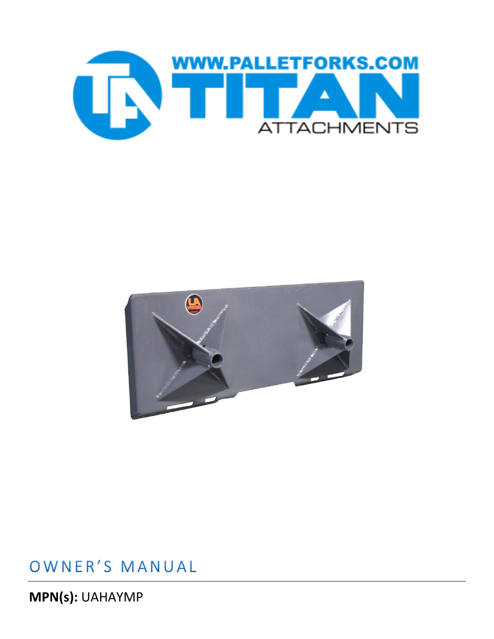



### OWNER'S MANUAL

MPN(s): UAHAYMP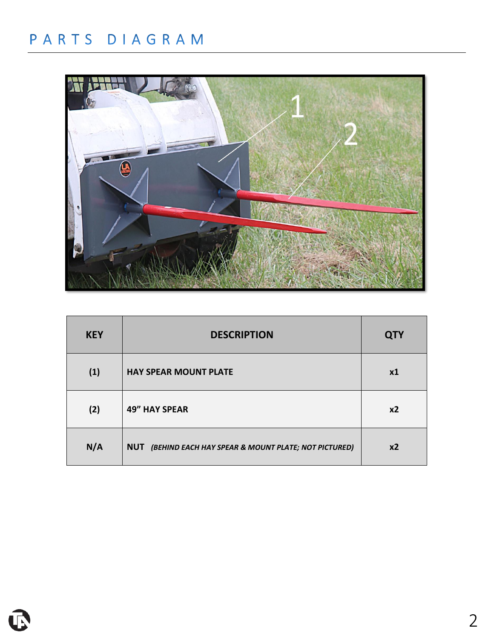# PARTS DIAGRAM



| <b>KEY</b> | <b>DESCRIPTION</b>                                      | <b>QTY</b> |
|------------|---------------------------------------------------------|------------|
| (1)        | <b>HAY SPEAR MOUNT PLATE</b>                            | x1         |
| (2)        | <b>49" HAY SPEAR</b>                                    | x2         |
| N/A        | NUT (BEHIND EACH HAY SPEAR & MOUNT PLATE; NOT PICTURED) | x2         |